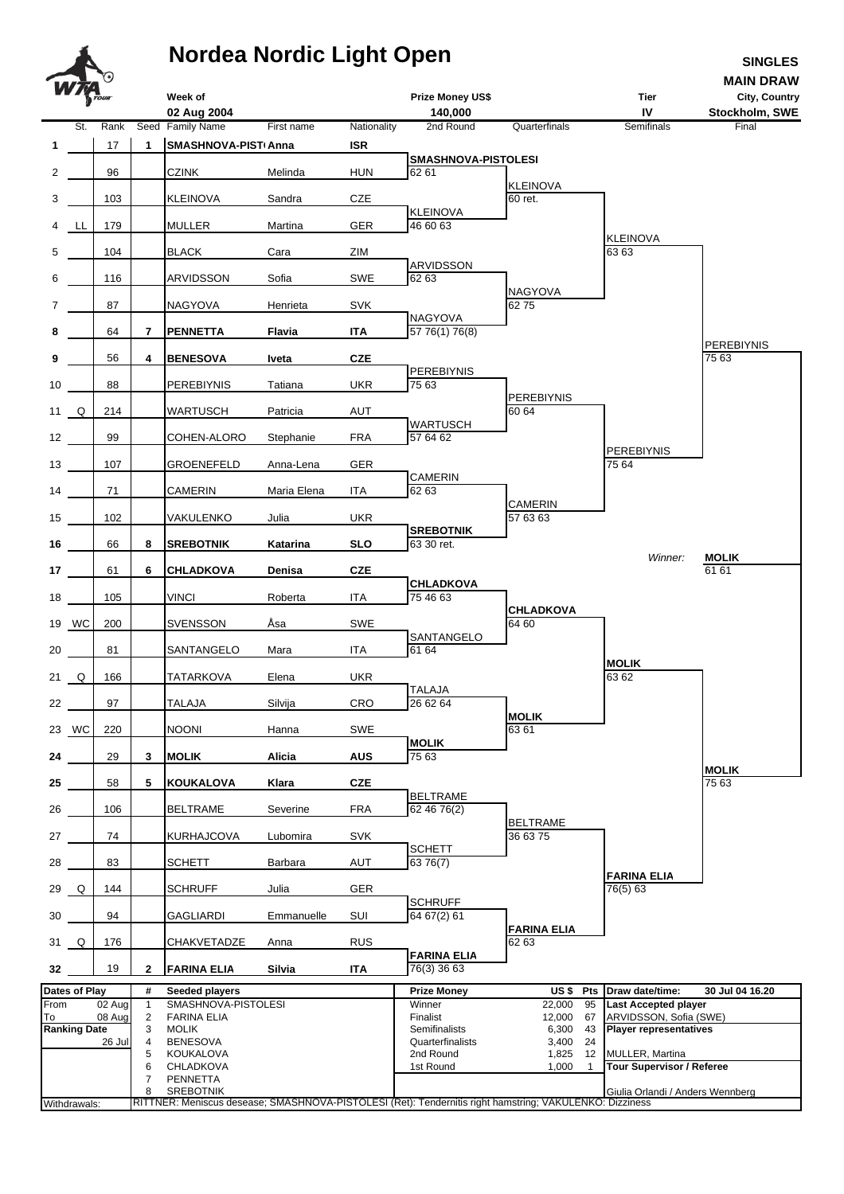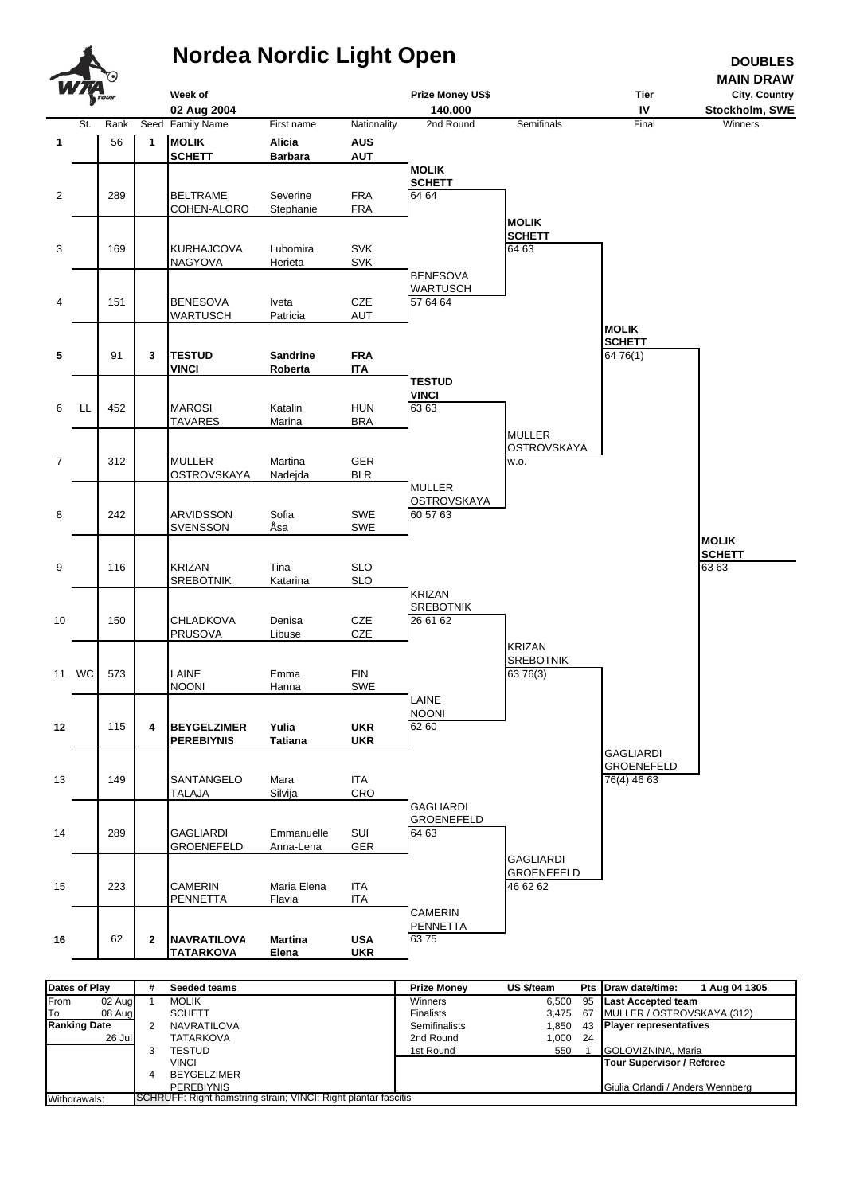

| Dates of Play         | #                                                              | Seeded teams       | <b>Prize Monev</b> | US \$/team |  | Pts Draw date/time:<br>1 Aug 04 1305 |  |
|-----------------------|----------------------------------------------------------------|--------------------|--------------------|------------|--|--------------------------------------|--|
| From<br>02 Aug        |                                                                | <b>MOLIK</b>       | Winners            |            |  | 6.500 95 Last Accepted team          |  |
| <b>T</b> o<br>08 Augl |                                                                | <b>SCHETT</b>      | <b>Finalists</b>   |            |  | 3,475 67 MULLER / OSTROVSKAYA (312)  |  |
| <b>Ranking Date</b>   |                                                                | NAVRATILOVA        | Semifinalists      | 1.850      |  | 43 Player representatives            |  |
| 26 Jul                |                                                                | <b>TATARKOVA</b>   | 2nd Round          | 1,000 24   |  |                                      |  |
|                       |                                                                | TESTUD             | 1st Round          | 550        |  | GOLOVIZNINA, Maria                   |  |
|                       |                                                                | VINCI              |                    |            |  | Tour Supervisor / Referee            |  |
|                       |                                                                | <b>BEYGELZIMER</b> |                    |            |  |                                      |  |
|                       |                                                                | <b>PEREBIYNIS</b>  |                    |            |  | Giulia Orlandi / Anders Wennberg     |  |
| Withdrawals:          | SCHRUFF: Right hamstring strain; VINCI: Right plantar fascitis |                    |                    |            |  |                                      |  |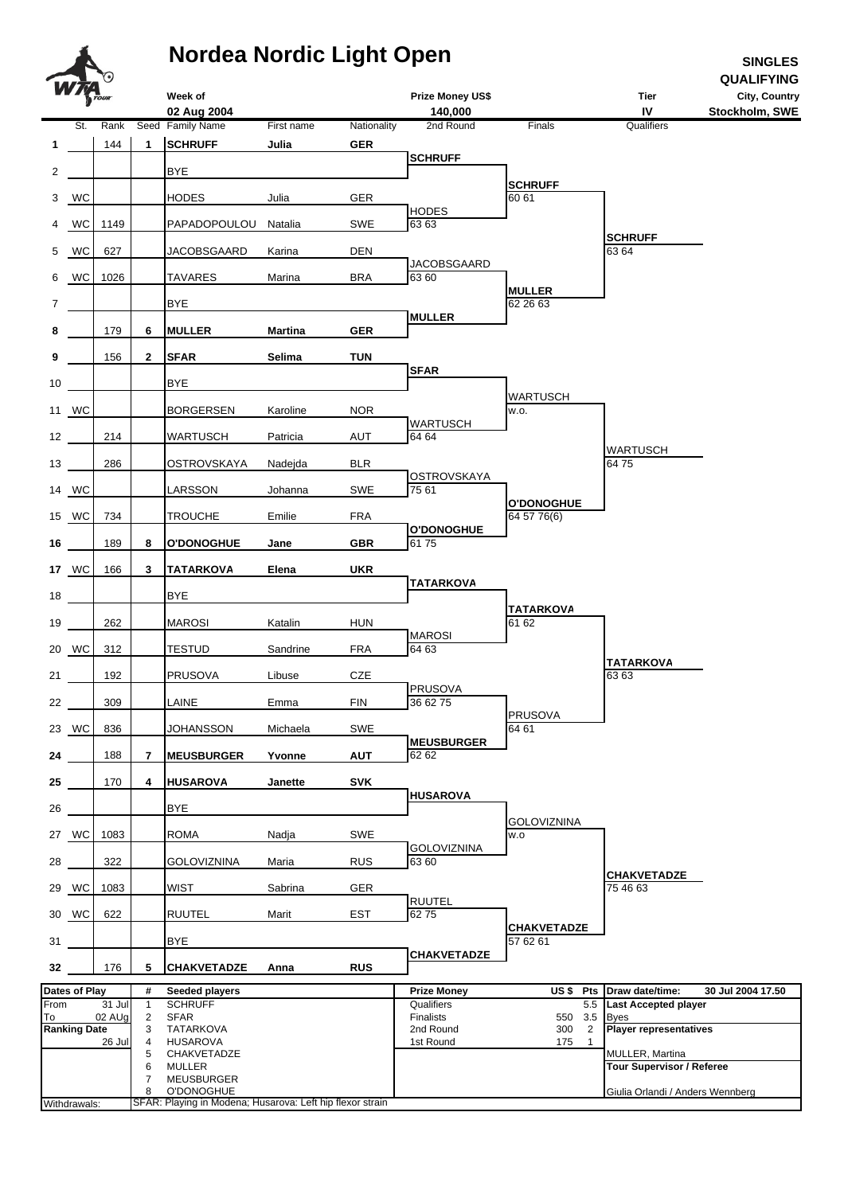